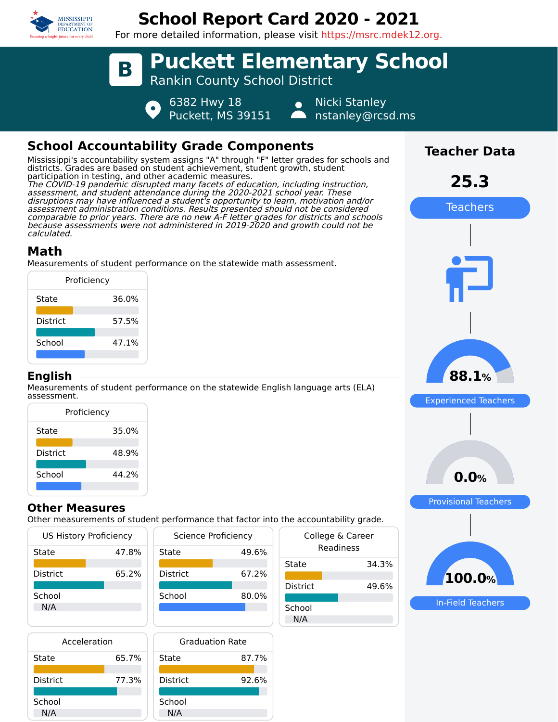

# **School Report Card 2020 - 2021**

For more detailed information, please visit https://msrc.mdek12.org.



## **Math**

calculated.

Measurements of student performance on the statewide math assessment.

| Proficiency     |       |  |
|-----------------|-------|--|
| State           | 36.0% |  |
| <b>District</b> | 57.5% |  |
| School          | 47.1% |  |
|                 |       |  |

#### **English**

Measurements of student performance on the statewide English language arts (ELA) assessment.

| Proficiency     |       |  |  |
|-----------------|-------|--|--|
| State           | 35.0% |  |  |
| <b>District</b> | 48.9% |  |  |
| School          | 44 2% |  |  |
|                 |       |  |  |

#### **Other Measures**

Other measurements of student performance that factor into the accountability grade.

49.6%

| <b>US History Proficiency</b> |       |                 | Science Proficiency |
|-------------------------------|-------|-----------------|---------------------|
| State                         | 47.8% | State           | 49.                 |
| <b>District</b>               | 65.2% | <b>District</b> | 67.                 |
| School<br>N/A                 |       | School          | 80.                 |
|                               |       |                 |                     |

| Acceleration    |       | <b>Graduation Rate</b> |       |
|-----------------|-------|------------------------|-------|
| State           | 65.7% | State                  | 87.7% |
| <b>District</b> | 77.3% | <b>District</b>        | 92.6% |
| School<br>N/A   |       | School<br>N/A          |       |



|                 | ic accountability grade.      |
|-----------------|-------------------------------|
|                 | College & Career<br>Readiness |
| State           | 34.3%                         |
| <b>District</b> | 49.6%                         |
| School<br>N/A   |                               |